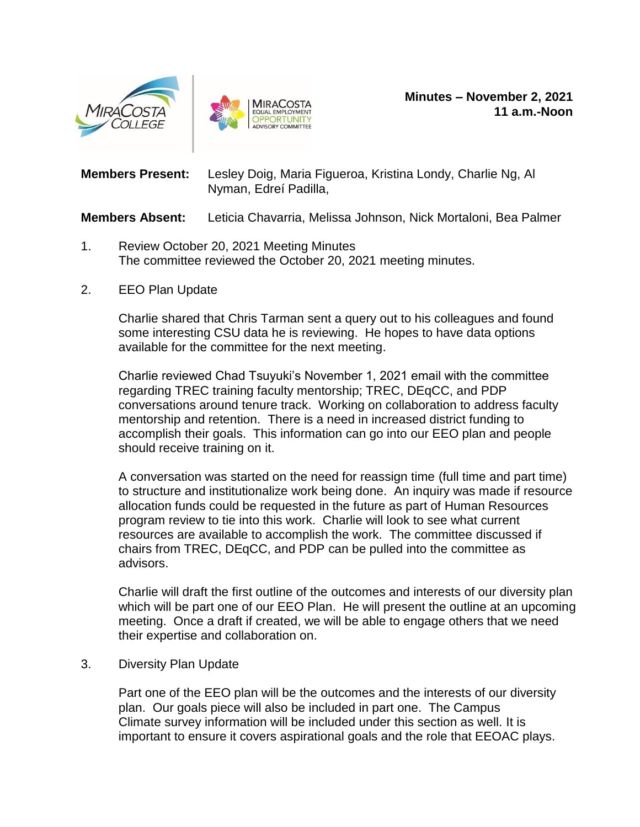



**Members Present:** Lesley Doig, Maria Figueroa, Kristina Londy, Charlie Ng, Al Nyman, Edreí Padilla,

**Members Absent:** Leticia Chavarria, Melissa Johnson, Nick Mortaloni, Bea Palmer

- 1. Review October 20, 2021 Meeting Minutes The committee reviewed the October 20, 2021 meeting minutes.
- 2. EEO Plan Update

Charlie shared that Chris Tarman sent a query out to his colleagues and found some interesting CSU data he is reviewing. He hopes to have data options available for the committee for the next meeting.

Charlie reviewed Chad Tsuyuki's November 1, 2021 email with the committee regarding TREC training faculty mentorship; TREC, DEqCC, and PDP conversations around tenure track. Working on collaboration to address faculty mentorship and retention. There is a need in increased district funding to accomplish their goals. This information can go into our EEO plan and people should receive training on it.

A conversation was started on the need for reassign time (full time and part time) to structure and institutionalize work being done. An inquiry was made if resource allocation funds could be requested in the future as part of Human Resources program review to tie into this work. Charlie will look to see what current resources are available to accomplish the work. The committee discussed if chairs from TREC, DEqCC, and PDP can be pulled into the committee as advisors.

Charlie will draft the first outline of the outcomes and interests of our diversity plan which will be part one of our EEO Plan. He will present the outline at an upcoming meeting. Once a draft if created, we will be able to engage others that we need their expertise and collaboration on.

3. Diversity Plan Update

Part one of the EEO plan will be the outcomes and the interests of our diversity plan. Our goals piece will also be included in part one. The Campus Climate survey information will be included under this section as well. It is important to ensure it covers aspirational goals and the role that EEOAC plays.